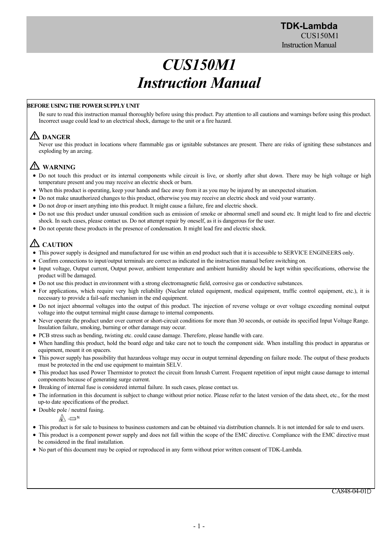# *CUS150M1 Instruction Manual*

#### **BEFORE USING THE POWER SUPPLY UNIT**

Be sure to read this instruction manual thoroughly before using this product. Pay attention to all cautions and warnings before using this product. Incorrect usage could lead to an electrical shock, damage to the unit or a fire hazard.

# **DANGER**

Never use this product in locations where flammable gas or ignitable substances are present. There are risks of igniting these substances and exploding by an arcing.

# **WARNING**

- Do not touch this product or its internal components while circuit is live, or shortly after shut down. There may be high voltage or high temperature present and you may receive an electric shock or burn.
- When this product is operating, keep your hands and face away from it as you may be injured by an unexpected situation.
- Do not make unauthorized changes to this product, otherwise you may receive an electric shock and void your warranty.
- Do not drop or insert anything into this product. It might cause a failure, fire and electric shock.
- Do not use this product under unusual condition such as emission of smoke or abnormal smell and sound etc. It might lead to fire and electric shock. In such cases, please contact us. Do not attempt repair by oneself, as it is dangerous for the user.
- Do not operate these products in the presence of condensation. It might lead fire and electric shock.

# **CAUTION**

- This power supply is designed and manufactured for use within an end product such that it is accessible to SERVICE ENGINEERS only.
- Confirm connections to input/output terminals are correct as indicated in the instruction manual before switching on.
- Input voltage, Output current, Output power, ambient temperature and ambient humidity should be kept within specifications, otherwise the product will be damaged.
- Do not use this product in environment with a strong electromagnetic field, corrosive gas or conductive substances.
- For applications, which require very high reliability (Nuclear related equipment, medical equipment, traffic control equipment, etc.), it is necessary to provide a fail-safe mechanism in the end equipment.
- Do not inject abnormal voltages into the output of this product. The injection of reverse voltage or over voltage exceeding nominal output voltage into the output terminal might cause damage to internal components.
- Never operate the product under over current or short-circuit conditions for more than 30 seconds, or outside its specified Input Voltage Range. Insulation failure, smoking, burning or other damage may occur.
- PCB stress such as bending, twisting etc. could cause damage. Therefore, please handle with care.
- When handling this product, hold the board edge and take care not to touch the component side. When installing this product in apparatus or equipment, mount it on spacers.
- This power supply has possibility that hazardous voltage may occur in output terminal depending on failure mode. The output of these products must be protected in the end use equipment to maintain SELV.
- This product has used Power Thermistor to protect the circuit from Inrush Current. Frequent repetition of input might cause damage to internal components because of generating surge current.
- Breaking of internal fuse is considered internal failure. In such cases, please contact us.
- The information in this document is subject to change without prior notice. Please refer to the latest version of the data sheet, etc., for the most up-to date specifications of the product.
- Double pole / neutral fusing.

$$
\mathbb{A} \rightleftharpoons
$$
<sup>N</sup>

- This product is for sale to business to business customers and can be obtained via distribution channels. It is not intended for sale to end users.
- This product is a component power supply and does not fall within the scope of the EMC directive. Compliance with the EMC directive must be considered in the final installation.
- No part of this document may be copied or reproduced in any form without prior written consent of TDK-Lambda.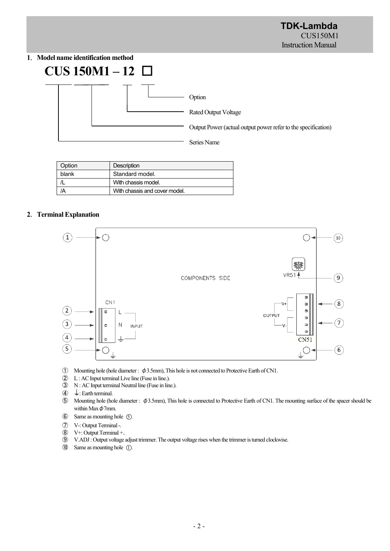# **1**.**Model name identification method**



| Option | <b>Description</b>            |  |  |
|--------|-------------------------------|--|--|
| blank  | Standard model.               |  |  |
|        | With chassis model.           |  |  |
|        | With chassis and cover model. |  |  |

## **2**.**Terminal Explanation**



- ① Mounting hole (hole diameter : φ3.5mm), This hole is not connected to Protective Earth of CN1.
- ② L : AC Input terminal Live line (Fuse in line.).
- ③ N : AC Input terminal Neutral line (Fuse in line.).
- $\overline{4}$  : Earth terminal.
- ⑤ Mounting hole (hole diameter : φ3.5mm), This hole is connected to Protective Earth of CN1. The mounting surface of the spacer should be within Max  $\phi$ 7mm.
- **6** Same as mounting hole **6**.
- ⑦ V-: Output Terminal -.
- ⑧ V+: Output Terminal +..
- ⑨ V.ADJ : Output voltage adjust trimmer. The output voltage rises when the trimmer is turned clockwise.
- $\textcircled{10}$  Same as mounting hole  $\textcircled{1}$ .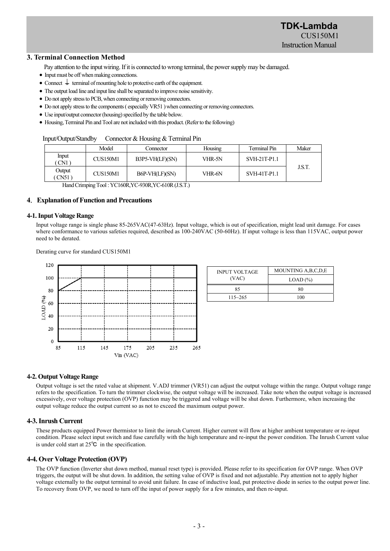#### **3. Terminal Connection Method**

- Pay attention to the input wiring. If it is connected to wrong terminal, the power supply may be damaged.
- Input must be off when making connections.
- Connect  $\perp$  terminal of mounting hole to protective earth of the equipment.
- The output load line and input line shall be separated to improve noise sensitivity.
- Do not apply stress to PCB, when connecting or removing connectors.
- Do not apply stress to the components ( especially VR51 ) when connecting or removing connectors.
- Use input/output connector (housing) specified by the table below.
- Housing, Terminal Pin and Tool are not included with this product. (Refer to the following)

#### Input/Output/Standby Connector & Housing & Terminal Pin

|                | Model                             | Connector         | Housing | Terminal Pin | Maker |
|----------------|-----------------------------------|-------------------|---------|--------------|-------|
| Input<br>CN1   | <b>CUS150M1</b>                   | $B3P5-VH(LF)(SN)$ | VHR-5N  | SVH-21T-P1.1 |       |
| Output<br>CN51 | <b>CUS150M1</b><br>B6P-VH(LF)(SN) |                   | VHR-6N  | SVH-41T-P1.1 | J.S.T |

Hand Crimping Tool : YC160R,YC-930R,YC-610R (J.S.T.)

#### **4**.**Explanation of Function and Precautions**

#### **4-1. Input Voltage Range**

Input voltage range is single phase 85-265VAC(47-63Hz). Input voltage, which is out of specification, might lead unit damage. For cases where conformance to various safeties required, described as 100-240VAC (50-60Hz). If input voltage is less than 115VAC, output power need to be derated.

Derating curve for standard CUS150M1



| <b>INPUT VOLTAGE</b> | MOUNTING A, B, C, D, E |  |  |
|----------------------|------------------------|--|--|
| (VAC)                | $LOAD$ $(\%)$          |  |  |
| 85                   | 80                     |  |  |
| $115 - 265$          | 100                    |  |  |

#### **4-2. Output Voltage Range**

Output voltage is set the rated value at shipment. V.ADJ trimmer (VR51) can adjust the output voltage within the range. Output voltage range refers to the specification. To turn the trimmer clockwise, the output voltage will be increased. Take note when the output voltage is increased excessively, over voltage protection (OVP) function may be triggered and voltage will be shut down. Furthermore, when increasing the output voltage reduce the output current so as not to exceed the maximum output power.

#### **4-3. Inrush Current**

These products equipped Power thermistor to limit the inrush Current. Higher current will flow at higher ambient temperature or re-input condition. Please select input switch and fuse carefully with the high temperature and re-input the power condition. The Inrush Current value is under cold start at 25℃ in the specification.

#### **4-4. Over Voltage Protection (OVP)**

The OVP function (Inverter shut down method, manual reset type) is provided. Please refer to its specification for OVP range. When OVP triggers, the output will be shut down. In addition, the setting value of OVP is fixed and not adjustable. Pay attention not to apply higher voltage externally to the output terminal to avoid unit failure. In case of inductive load, put protective diode in series to the output power line. To recovery from OVP, we need to turn off the input of power supply for a few minutes, and then re-input.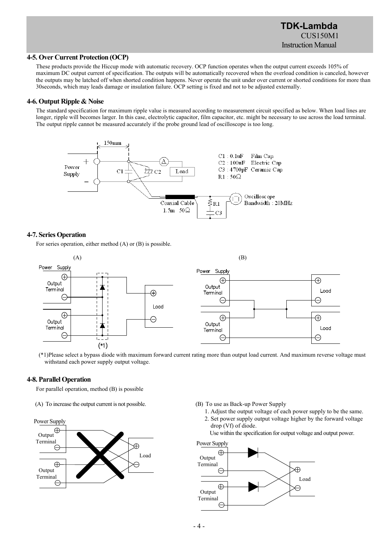# **TDK-Lambda**  CUS150M1 Instruction Manual

#### **4-5. Over Current Protection (OCP)**

These products provide the Hiccup mode with automatic recovery. OCP function operates when the output current exceeds 105% of maximum DC output current of specification. The outputs will be automatically recovered when the overload condition is canceled, however the outputs may be latched off when shorted condition happens. Never operate the unit under over current or shorted conditions for more than 30seconds, which may leads damage or insulation failure. OCP setting is fixed and not to be adjusted externally.

#### **4-6. Output Ripple & Noise**

The standard specification for maximum ripple value is measured according to measurement circuit specified as below. When load lines are longer, ripple will becomes larger. In this case, electrolytic capacitor, film capacitor, etc. might be necessary to use across the load terminal. The output ripple cannot be measured accurately if the probe ground lead of oscilloscope is too long.



# **4-7. Series Operation**

For series operation, either method (A) or (B) is possible.



withstand each power supply output voltage.

#### **4-8. Parallel Operation**

For parallel operation, method (B) is possible

(A) To increase the output current is not possible.



(B) To use as Back-up Power Supply

 1. Adjust the output voltage of each power supply to be the same. 2. Set power supply output voltage higher by the forward voltage drop (Vf) of diode.

Use within the specification for output voltage and output power.



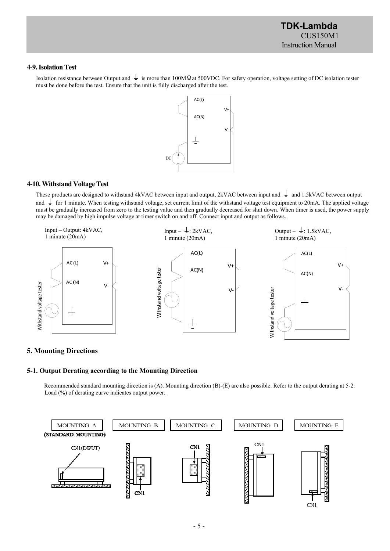**TDK-Lambda**  CUS150M1 Instruction Manual

#### **4-9. Isolation Test**

Isolation resistance between Output and  $\frac{1}{\epsilon}$  is more than 100MΩat 500VDC. For safety operation, voltage setting of DC isolation tester must be done before the test. Ensure that the unit is fully discharged after the test.



#### **4-10. Withstand Voltage Test**

These products are designed to withstand 4kVAC between input and output, 2kVAC between input and  $\pm$  and 1.5kVAC between output and  $\frac{1}{\epsilon}$  for 1 minute. When testing withstand voltage, set current limit of the withstand voltage test equipment to 20mA. The applied voltage must be gradually increased from zero to the testing value and then gradually decreased for shut down. When timer is used, the power supply may be damaged by high impulse voltage at timer switch on and off. Connect input and output as follows.



#### **5. Mounting Directions**

#### **5-1. Output Derating according to the Mounting Direction**

Recommended standard mounting direction is (A). Mounting direction (B)-(E) are also possible. Refer to the output derating at 5-2. Load (%) of derating curve indicates output power.

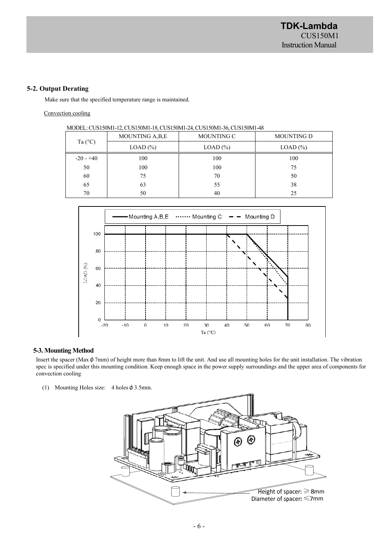#### **5-2. Output Derating**

Make sure that the specified temperature range is maintained.

#### Convection cooling

| MODEL: CUS150M1-12, CUS150M1-18, CUS150M1-24, CUS150M1-36, CUS150M1-48 |  |  |
|------------------------------------------------------------------------|--|--|
|                                                                        |  |  |

| Ta $(^{\circ}C)$ | MOUNTING A, B, E | MOUNTING C | <b>MOUNTING D</b> |
|------------------|------------------|------------|-------------------|
|                  | $LOAD$ $%$       | $LOAD$ $%$ | LOAD (%)          |
| $-20 - +40$      | 100              | 100        | 100               |
| 50               | 100              | 100        | 75                |
| 60               | 75               | 70         | 50                |
| 65               | 63               | 55         | 38                |
| 70               | 50               | 40         | 25                |



#### **5-3. Mounting Method**

Insert the spacer (Max $\phi$ 7mm) of height more than 8mm to lift the unit. And use all mounting holes for the unit installation. The vibration spec is specified under this mounting condition. Keep enough space in the power supply surroundings and the upper area of components for convection cooling

(1) Mounting Holes size:  $4$  holes  $\phi$  3.5mm.

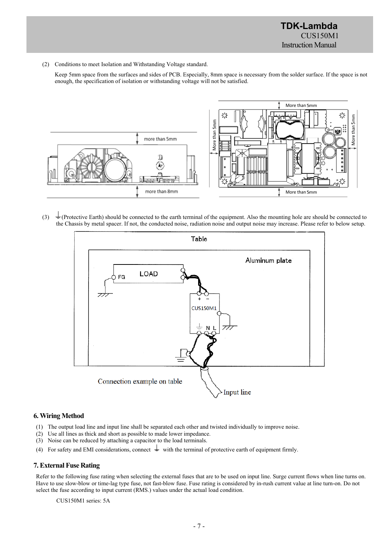(2) Conditions to meet Isolation and Withstanding Voltage standard.

Keep 5mm space from the surfaces and sides of PCB. Especially, 8mm space is necessary from the solder surface. If the space is not enough, the specification of isolation or withstanding voltage will not be satisfied.



(3)  $\pm$  (Protective Earth) should be connected to the earth terminal of the equipment. Also the mounting hole are should be connected to the Chassis by metal spacer. If not, the conducted noise, radiation noise and output noise may increase. Please refer to below setup.



# **6. Wiring Method**

- (1) The output load line and input line shall be separated each other and twisted individually to improve noise.
- (2) Use all lines as thick and short as possible to made lower impedance.
- (3) Noise can be reduced by attaching a capacitor to the load terminals.
- (4) For safety and EMI considerations, connect  $\frac{1}{x}$  with the terminal of protective earth of equipment firmly.

#### **7. External Fuse Rating**

Refer to the following fuse rating when selecting the external fuses that are to be used on input line. Surge current flows when line turns on. Have to use slow-blow or time-lag type fuse, not fast-blow fuse. Fuse rating is considered by in-rush current value at line turn-on. Do not select the fuse according to input current (RMS.) values under the actual load condition.

CUS150M1 series: 5A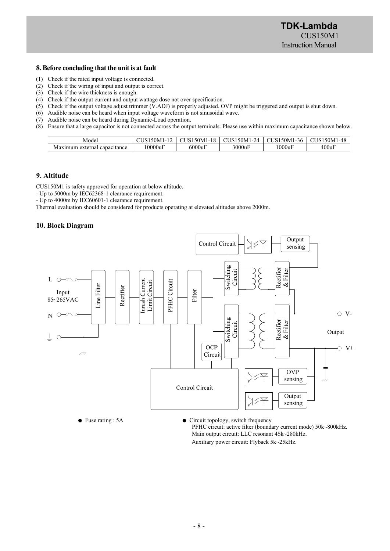# **8. Before concluding that the unit is at fault**

- (1) Check if the rated input voltage is connected.
- (2) Check if the wiring of input and output is correct.
- (3) Check if the wire thickness is enough.
- (4) Check if the output current and output wattage dose not over specification.
- (5) Check if the output voltage adjust trimmer (V.ADJ) is properly adjusted. OVP might be triggered and output is shut down.
- (6) Audible noise can be heard when input voltage waveform is not sinusoidal wave.
- (7) Audible noise can be heard during Dynamic-Load operation.
- (8) Ensure that a large capacitor is not connected across the output terminals. Please use within maximum capacitance shown below.

| Model                           | - - -<br>$\sim$<br>ıм | $150M_{\odot}$<br>1 O<br>1-10 | $\sim$ $\sim$ $\sim$<br>'4<br>ועוור | 50M<br>$\sim$<br>$\sim$<br>36<br>۰., | 50M1<br>$-48$            |
|---------------------------------|-----------------------|-------------------------------|-------------------------------------|--------------------------------------|--------------------------|
| external<br>capacitance<br>VIa. | 10000ul               | 6000ul<br>$\sim$              | $3000u_1$                           | !000ul                               | $\mathbf{r}$<br>$400u_1$ |

#### **9. Altitude**

CUS150M1 is safety approved for operation at below altitude.

- Up to 5000m by IEC62368-1 clearance requirement.

- Up to 4000m by IEC60601-1 clearance requirement.

Thermal evaluation should be considered for products operating at elevated altitudes above 2000m.

#### **10. Block Diagram**



 PFHC circuit: active filter (boundary current mode) 50k~800kHz. Main output circuit: LLC resonant 45k~280kHz. Auxiliary power circuit: Flyback 5k~25kHz.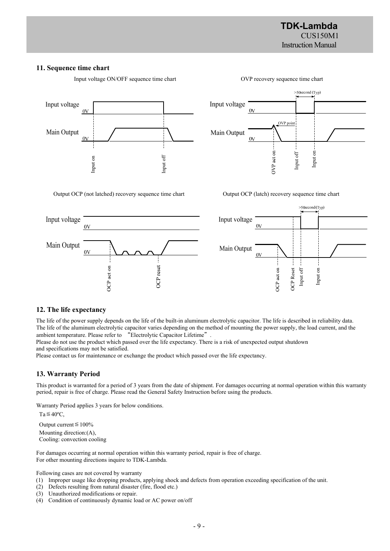>50second (Typ)

 $\overline{\mathrm{s}}$ 

Input

#### **11. Sequence time chart**



Input voltage ON/OFF sequence time chart OVP recovery sequence time chart



OVP point

Input off

Input voltage

Main Output

 $0V$ 

 $\alpha$ 

Output OCP (not latched) recovery sequence time chart Output OCP (latch) recovery sequence time chart

OVP act on ---



#### **12. The life expectancy**

The life of the power supply depends on the life of the built-in aluminum electrolytic capacitor. The life is described in reliability data. The life of the aluminum electrolytic capacitor varies depending on the method of mounting the power supply, the load current, and the ambient temperature. Please refer to "Electrolytic Capacitor Lifetime".

Please do not use the product which passed over the life expectancy. There is a risk of unexpected output shutdown and specifications may not be satisfied.

Please contact us for maintenance or exchange the product which passed over the life expectancy.

#### **13. Warranty Period**

This product is warranted for a period of 3 years from the date of shipment. For damages occurring at normal operation within this warranty period, repair is free of charge. Please read the General Safety Instruction before using the products.

Warranty Period applies 3 years for below conditions.

 $Ta \leq 40^{\circ}C$ , Output current≦100%

Mounting direction:(A), Cooling: convection cooling

For damages occurring at normal operation within this warranty period, repair is free of charge. For other mounting directions inquire to TDK-Lambda.

Following cases are not covered by warranty

- (1) Improper usage like dropping products, applying shock and defects from operation exceeding specification of the unit.
- (2) Defects resulting from natural disaster (fire, flood etc.)
- (3) Unauthorized modifications or repair.
- (4) Condition of continuously dynamic load or AC power on/off